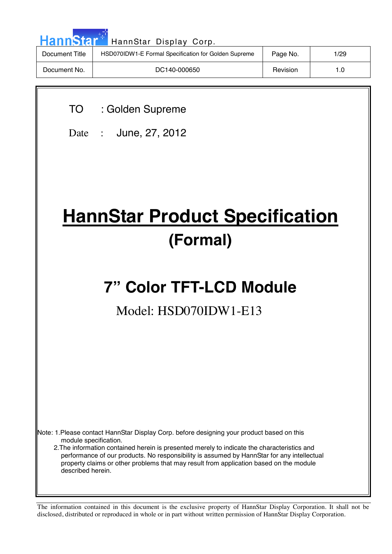| <b>HannStar</b><br>HannStar Display Corp. |                                                      |          |      |  |  |  |
|-------------------------------------------|------------------------------------------------------|----------|------|--|--|--|
| Document Title                            | HSD070IDW1-E Formal Specification for Golden Supreme | Page No. | 1/29 |  |  |  |
| Document No.                              | DC140-000650                                         | Revision | 1.0  |  |  |  |

TO : Golden Supreme

Date : June, 27, 2012

# **HannStar Product Specification (Formal)**

## **7" Color TFT-LCD Module**

## Model: HSD070IDW1-E13

Note: 1.Please contact HannStar Display Corp. before designing your product based on this module specification.

 2.The information contained herein is presented merely to indicate the characteristics and performance of our products. No responsibility is assumed by HannStar for any intellectual property claims or other problems that may result from application based on the module described herein.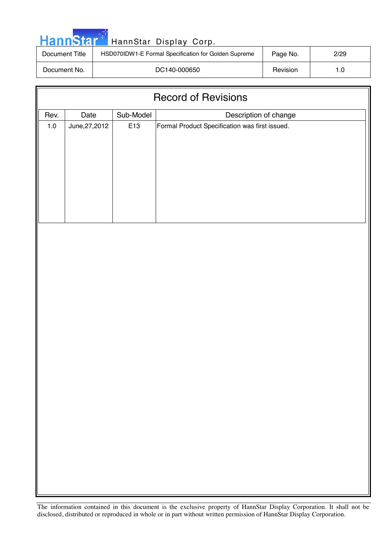| HannStar <sup>*</sup> | HannStar Display Corp.                               |          |      |
|-----------------------|------------------------------------------------------|----------|------|
| Document Title        | HSD070IDW1-E Formal Specification for Golden Supreme | Page No. | 2/29 |
| Document No.          | DC140-000650                                         | Revision | 1.0  |

ا ا

| <b>Record of Revisions</b> |                |           |                                                |  |
|----------------------------|----------------|-----------|------------------------------------------------|--|
| Rev.                       | Date           | Sub-Model | Description of change                          |  |
| $1.0\,$                    | June, 27, 2012 | E13       | Formal Product Specification was first issued. |  |
|                            |                |           |                                                |  |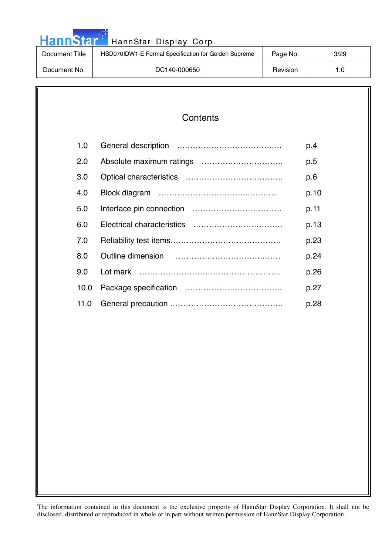| <b>HannStar</b> *<br>HannStar Display Corp. |                                                      |          |      |  |  |  |
|---------------------------------------------|------------------------------------------------------|----------|------|--|--|--|
| Document Title                              | HSD070IDW1-E Formal Specification for Golden Supreme | Page No. | 3/29 |  |  |  |
| Document No.                                | DC140-000650                                         | Revision | 1.0  |  |  |  |

والمراد

| Contents |
|----------|
|----------|

| 1.0  | p.4  |
|------|------|
| 2.0  | p.5  |
| 3.0  | p.6  |
| 4.0  | p.10 |
| 5.0  | p.11 |
| 6.0  | p.13 |
| 7.0  | p.23 |
| 8.0  | p.24 |
| 9.0  | p.26 |
| 10.0 | p.27 |
| 11.0 | p.28 |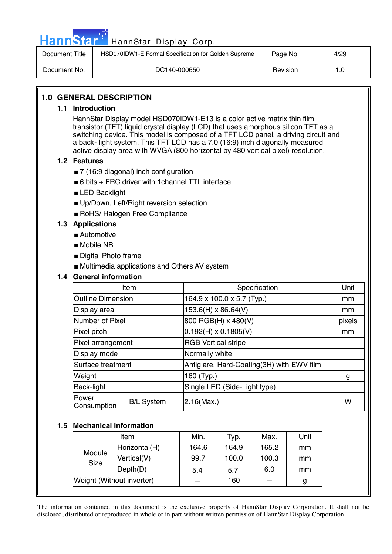|  |  | <b>HannStar</b> |  |
|--|--|-----------------|--|
|  |  |                 |  |

| Document Title | HSD070IDW1-E Formal Specification for Golden Supreme | Page No. | 4/29 |
|----------------|------------------------------------------------------|----------|------|
| Document No.   | DC140-000650                                         | Revision |      |

## **1.0 GENERAL DESCRIPTION**

#### **1.1 Introduction**

HannStar Display model HSD070IDW1-E13 is a color active matrix thin film transistor (TFT) liquid crystal display (LCD) that uses amorphous silicon TFT as a switching device. This model is composed of a TFT LCD panel, a driving circuit and a back- light system. This TFT LCD has a 7.0 (16:9) inch diagonally measured active display area with WVGA (800 horizontal by 480 vertical pixel) resolution.

#### **1.2 Features**

- 7 (16:9 diagonal) inch configuration
- $\blacksquare$  6 bits + FRC driver with 1 channel TTL interface
- LED Backlight
- Up/Down, Left/Right reversion selection
- RoHS/ Halogen Free Compliance

## **1.3 Applications**

- Automotive
- Mobile NB
- Digital Photo frame
- Multimedia applications and Others AV system

#### **1.4 General information**

| Item                        |                   | Specification                             | Unit   |
|-----------------------------|-------------------|-------------------------------------------|--------|
| <b>Outline Dimension</b>    |                   | 164.9 x 100.0 x 5.7 (Typ.)                | mm     |
| Display area                |                   | 153.6(H) x 86.64(V)                       | mm     |
| Number of Pixel             |                   | 800 RGB(H) x 480(V)                       | pixels |
| Pixel pitch                 |                   | $0.192(H) \times 0.1805(V)$               | mm     |
| Pixel arrangement           |                   | <b>RGB Vertical stripe</b>                |        |
| Display mode                |                   | Normally white                            |        |
| Surface treatment           |                   | Antiglare, Hard-Coating(3H) with EWV film |        |
| Weight                      |                   | 160 (Typ.)                                | g      |
| Back-light                  |                   | Single LED (Side-Light type)              |        |
| <b>Power</b><br>Consumption | <b>B/L System</b> | $2.16$ (Max.)                             | W      |

#### **1.5 Mechanical Information**

|                           | Item          |       | Typ.  | Max.  | Unit |
|---------------------------|---------------|-------|-------|-------|------|
|                           | Horizontal(H) | 164.6 | 164.9 | 165.2 | mm   |
| Module<br><b>Size</b>     | Vertical(V)   | 99.7  | 100.0 | 100.3 | mm   |
|                           | Depth(D)      | 5.4   | 5.7   | 6.0   | mm   |
| Weight (Without inverter) |               |       | 160   |       | g    |
|                           |               |       |       |       |      |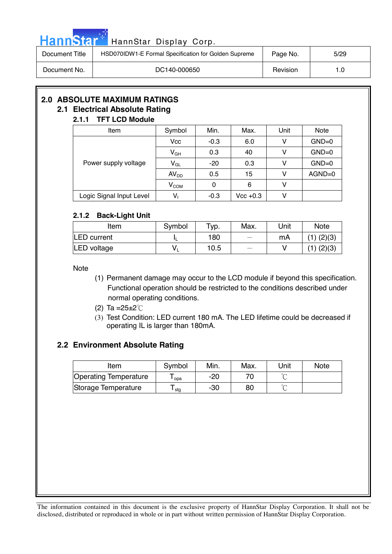|  |  | HannStar i |  |
|--|--|------------|--|
|  |  |            |  |
|  |  |            |  |

| Document Title | HSD070IDW1-E Formal Specification for Golden Supreme | Page No. | 5/29 |
|----------------|------------------------------------------------------|----------|------|
| Document No.   | DC140-000650                                         | Revision | 1.0  |

## **2.0 ABSOLUTE MAXIMUM RATINGS**

#### **2.1 Electrical Absolute Rating 2.1.1 TFT LCD Module**

## Item  $\vert$  Symbol | Min. | Max. | Unit | Note  $Vcc$  -0.3 6.0 V GND=0  $V_{GH}$  0.3 40 V GND=0  $V_{GL}$  -20 0.3 V GND=0  $AV_{DD}$  0.5 15 V AGND=0 Power supply voltage  $V_{COM}$  0 6 V Logic Signal Input Level  $\begin{vmatrix} V_1 & 1 & -0.3 \end{vmatrix}$  Vcc +0.3 V

## **2.1.2 Back-Light Unit**

| Item               | Symbol | $TVP$ . | Max. | Unit | <b>Note</b>    |
|--------------------|--------|---------|------|------|----------------|
| <b>LED</b> current |        | 180     |      | mA   | $(1)$ $(2)(3)$ |
| LED voltage        | v      | 10.5    |      |      | $(1)$ $(2)(3)$ |

**Note** 

- (1) Permanent damage may occur to the LCD module if beyond this specification. Functional operation should be restricted to the conditions described under normal operating conditions.
- (2) Ta = $25 \pm 2^{\circ}$ C
- (3) Test Condition: LED current 180 mA. The LED lifetime could be decreased if operating IL is larger than 180mA.

## **2.2 Environment Absolute Rating**

| Item                         | Symbol | Min. | Max. | Unit   | <b>Note</b> |
|------------------------------|--------|------|------|--------|-------------|
| <b>Operating Temperature</b> | opa    | -20  |      | $\sim$ |             |
| Storage Temperature          | stg    | -30  | 80   | $\sim$ |             |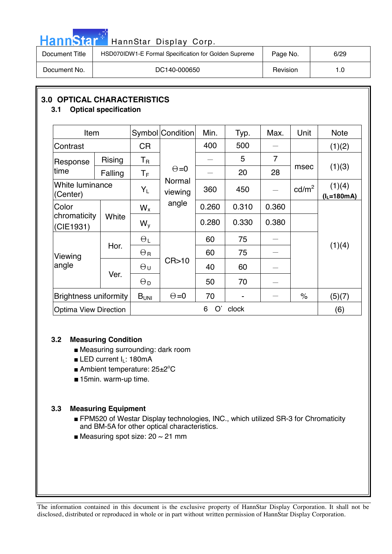| . . |  | annste |  |
|-----|--|--------|--|
| П   |  |        |  |

| Document Title | HSD070IDW1-E Formal Specification for Golden Supreme | Page No. | 6/29 |
|----------------|------------------------------------------------------|----------|------|
| Document No.   | DC140-000650                                         | Revision | 1.0  |

## **3.0 OPTICAL CHARACTERISTICS**

## **3.1 Optical specification**

| Item                         |               |                  | Symbol Condition  | Min.    | Typ.  | Max.           | Unit            | <b>Note</b>                       |
|------------------------------|---------------|------------------|-------------------|---------|-------|----------------|-----------------|-----------------------------------|
| Contrast                     |               | <b>CR</b>        |                   | 400     | 500   |                |                 | (1)(2)                            |
| Response                     | <b>Rising</b> | $T_{\rm R}$      |                   |         | 5     | $\overline{7}$ |                 |                                   |
| time                         | Falling       | $T_F$            | $\Theta = 0$      |         | 20    | 28             | msec            | (1)(3)                            |
| White luminance<br>(Center)  |               | $Y_L$            | Normal<br>viewing | 360     | 450   |                | $\text{cd/m}^2$ | (1)(4)<br>$(l_L = 180 \text{mA})$ |
| Color                        | White         |                  | angle             | 0.260   | 0.310 | 0.360          |                 |                                   |
| chromaticity<br>(CIE1931)    |               |                  |                   | 0.280   | 0.330 | 0.380          |                 |                                   |
|                              | Hor.          | $\Theta_L$       |                   | 60      | 75    |                |                 |                                   |
| Viewing                      |               | $\Theta_{\rm R}$ |                   | 60      | 75    |                |                 | (1)(4)                            |
| angle                        |               | $\Theta$ u       | CR > 10           | 40      | 60    |                |                 |                                   |
|                              | Ver.          | $\Theta_{\rm D}$ |                   | 50      | 70    |                |                 |                                   |
| <b>Brightness uniformity</b> |               | B <sub>UNI</sub> | $\Theta = 0$      | 70      |       |                | $\%$            | (5)(7)                            |
| <b>Optima View Direction</b> |               |                  |                   | O'<br>6 | clock |                |                 | (6)                               |

## **3.2 Measuring Condition**

- Measuring surrounding: dark room
- LED current I<sub>L</sub>: 180mA
- Ambient temperature: 25±2°C
- 15min. warm-up time.

## **3.3 Measuring Equipment**

- FPM520 of Westar Display technologies, INC., which utilized SR-3 for Chromaticity and BM-5A for other optical characteristics.
- Measuring spot size:  $20 \sim 21$  mm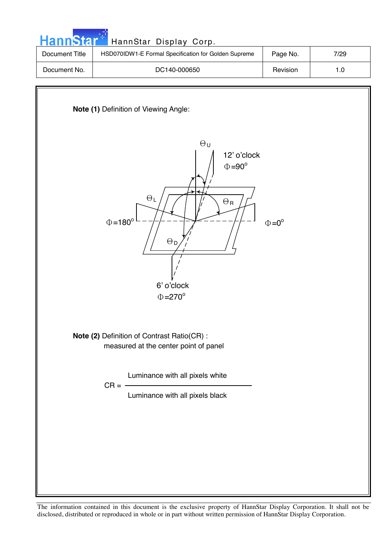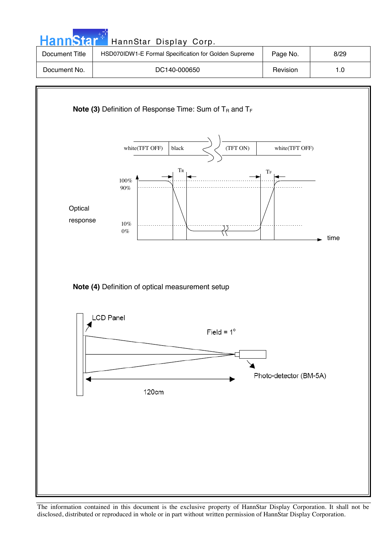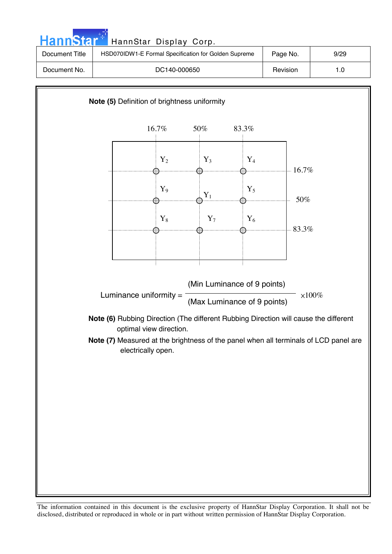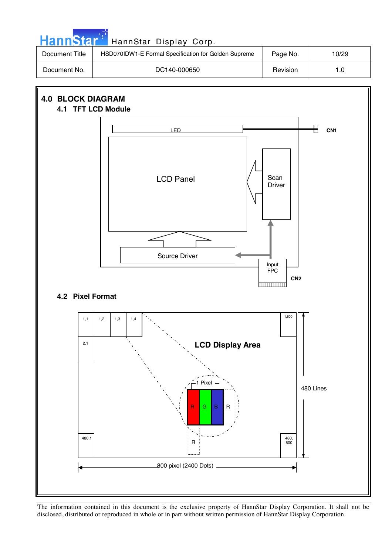

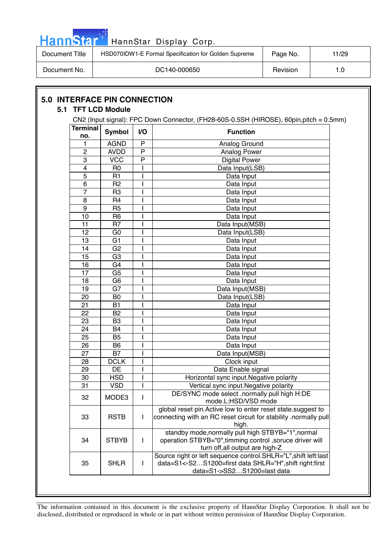|  |  | HannStar |  |
|--|--|----------|--|
|  |  |          |  |
|  |  |          |  |

| HannStar T     | HannStar Display Corp.                               |          |       |
|----------------|------------------------------------------------------|----------|-------|
| Document Title | HSD070IDW1-E Formal Specification for Golden Supreme | Page No. | 11/29 |
| Document No.   | DC140-000650                                         | Revision | 1.0   |

| CN2 (Input signal): FPC Down Connector, (FH28-60S-0.5SH (HIROSE), 60pin,pitch = 0.5mm) |                 |                |                                                                                                                                                           |  |  |  |
|----------------------------------------------------------------------------------------|-----------------|----------------|-----------------------------------------------------------------------------------------------------------------------------------------------------------|--|--|--|
| <b>Terminal</b><br>no.                                                                 | <b>Symbol</b>   | V <sub>O</sub> | <b>Function</b>                                                                                                                                           |  |  |  |
| 1                                                                                      | <b>AGND</b>     | $\mathsf{P}$   | Analog Ground                                                                                                                                             |  |  |  |
| 2                                                                                      | <b>AVDD</b>     | P              | Analog Power                                                                                                                                              |  |  |  |
| $\overline{3}$                                                                         | <b>VCC</b>      | $\overline{P}$ | <b>Digital Power</b>                                                                                                                                      |  |  |  |
| $\overline{\mathbf{4}}$                                                                | R <sub>0</sub>  |                | Data Input(LSB)                                                                                                                                           |  |  |  |
| 5                                                                                      | R <sub>1</sub>  |                | Data Input                                                                                                                                                |  |  |  |
| 6                                                                                      | R <sub>2</sub>  |                | Data Input                                                                                                                                                |  |  |  |
| $\overline{7}$                                                                         | R <sub>3</sub>  |                | Data Input                                                                                                                                                |  |  |  |
| 8                                                                                      | R <sub>4</sub>  |                | Data Input                                                                                                                                                |  |  |  |
| 9                                                                                      | R <sub>5</sub>  |                | Data Input                                                                                                                                                |  |  |  |
| 10                                                                                     | R <sub>6</sub>  |                | Data Input                                                                                                                                                |  |  |  |
| 11                                                                                     | R <sub>7</sub>  |                | Data Input(MSB)                                                                                                                                           |  |  |  |
| 12                                                                                     | G <sub>0</sub>  |                | Data Input(LSB)                                                                                                                                           |  |  |  |
| 13                                                                                     | G <sub>1</sub>  |                | Data Input                                                                                                                                                |  |  |  |
| 14                                                                                     | G <sub>2</sub>  |                | Data Input                                                                                                                                                |  |  |  |
| 15                                                                                     | $\overline{G3}$ |                | Data Input                                                                                                                                                |  |  |  |
| 16                                                                                     | G <sub>4</sub>  |                | Data Input                                                                                                                                                |  |  |  |
| 17                                                                                     | G <sub>5</sub>  |                | Data Input                                                                                                                                                |  |  |  |
| 18                                                                                     | G <sub>6</sub>  |                | Data Input                                                                                                                                                |  |  |  |
| 19                                                                                     | G7              |                | Data Input(MSB)                                                                                                                                           |  |  |  |
| 20                                                                                     | B <sub>0</sub>  |                | Data Input(LSB)                                                                                                                                           |  |  |  |
| 21                                                                                     | <b>B1</b>       |                | Data Input                                                                                                                                                |  |  |  |
| 22                                                                                     | B <sub>2</sub>  |                | Data Input                                                                                                                                                |  |  |  |
| 23                                                                                     | B <sub>3</sub>  |                | Data Input                                                                                                                                                |  |  |  |
| 24                                                                                     | <b>B4</b>       |                | Data Input                                                                                                                                                |  |  |  |
| 25                                                                                     | <b>B5</b>       |                | Data Input                                                                                                                                                |  |  |  |
| 26                                                                                     | B <sub>6</sub>  |                | Data Input                                                                                                                                                |  |  |  |
| 27                                                                                     | <b>B7</b>       |                | Data Input(MSB)                                                                                                                                           |  |  |  |
| 28                                                                                     | <b>DCLK</b>     |                | Clock input                                                                                                                                               |  |  |  |
| 29                                                                                     | DE              |                | Data Enable signal                                                                                                                                        |  |  |  |
| $\overline{30}$                                                                        | <b>HSD</b>      |                | Horizontal sync input. Negative polarity                                                                                                                  |  |  |  |
| 31                                                                                     | <b>VSD</b>      |                | Vertical sync input. Negative polarity                                                                                                                    |  |  |  |
| 32                                                                                     | MODE3           |                | DE/SYNC mode select .normally pull high H:DE<br>mode.L:HSD/VSD mode                                                                                       |  |  |  |
| 33                                                                                     | <b>RSTB</b>     | I              | global reset pin. Active low to enter reset state. suggest to<br>connecting with an RC reset circuit for stability .normally pull<br>high.                |  |  |  |
| 34                                                                                     | <b>STBYB</b>    | $\mathbf{I}$   | standby mode, normally pull high STBYB="1", normal<br>operation STBYB="0", timming control, soruce driver will<br>turn off, all output are high-Z         |  |  |  |
| 35                                                                                     | <b>SHLR</b>     | I              | Source right or left sequence control.SHLR="L", shift left:last<br>data=S1<-S2S1200=first data SHLR="H", shift right:first<br>data=S1->SS2S1200=last data |  |  |  |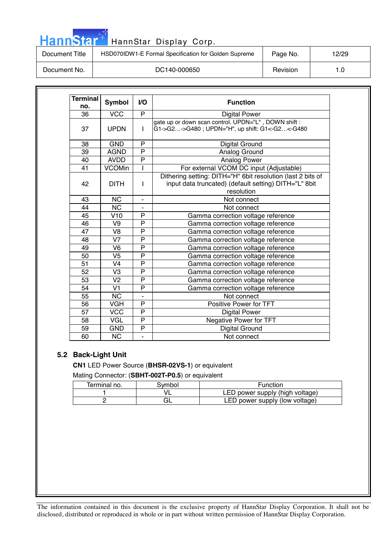|  | HannStar |  |
|--|----------|--|
|  |          |  |

| Document Title | HSD070IDW1-E Formal Specification for Golden Supreme | Page No. | 12/29 |
|----------------|------------------------------------------------------|----------|-------|
| Document No.   | DC140-000650                                         | Revision |       |

| <b>Terminal</b><br>no. | <b>Symbol</b>          | I/O            | <b>Function</b>                                                                                                                    |
|------------------------|------------------------|----------------|------------------------------------------------------------------------------------------------------------------------------------|
| 36                     | <b>VCC</b>             | P              | <b>Digital Power</b>                                                                                                               |
| 37                     | <b>UPDN</b>            | L              | gate up or down scan control. UPDN="L", DOWN shift:<br>G1->G2->G480 ; UPDN="H", up shift: G1<-G2<-G480                             |
| 38                     | <b>GND</b>             | P              | Digital Ground                                                                                                                     |
| 39                     | <b>AGND</b>            | P              | Analog Ground                                                                                                                      |
| 40                     | <b>AVDD</b>            | $\overline{P}$ | Analog Power                                                                                                                       |
| 41                     | <b>VCOMin</b>          |                | For external VCOM DC input (Adjustable)                                                                                            |
| 42                     | <b>DITH</b>            | I              | Dithering setting: DITH="H" 6bit resolution (last 2 bits of<br>input data truncated) (default setting) DITH="L" 8bit<br>resolution |
| 43                     | <b>NC</b>              | $\blacksquare$ | Not connect                                                                                                                        |
| 44                     | $\overline{\text{NC}}$ |                | Not connect                                                                                                                        |
| 45                     | V10                    | P              | Gamma correction voltage reference                                                                                                 |
| 46                     | V9                     | $\overline{P}$ | Gamma correction voltage reference                                                                                                 |
| 47                     | V <sub>8</sub>         | $\overline{P}$ | Gamma correction voltage reference                                                                                                 |
| 48                     | V <sub>7</sub>         | P              | Gamma correction voltage reference                                                                                                 |
| 49                     | V <sub>6</sub>         | P              | Gamma correction voltage reference                                                                                                 |
| 50                     | V5                     | P              | Gamma correction voltage reference                                                                                                 |
| 51                     | V <sub>4</sub>         | $\overline{P}$ | Gamma correction voltage reference                                                                                                 |
| 52                     | V3                     | P              | Gamma correction voltage reference                                                                                                 |
| 53                     | V <sub>2</sub>         | P              | Gamma correction voltage reference                                                                                                 |
| 54                     | V <sub>1</sub>         | $\overline{P}$ | Gamma correction voltage reference                                                                                                 |
| 55                     | <b>NC</b>              |                | Not connect                                                                                                                        |
| 56                     | <b>VGH</b>             | P              | Positive Power for TFT                                                                                                             |
| 57                     | <b>VCC</b>             | P              | <b>Digital Power</b>                                                                                                               |
| 58                     | <b>VGL</b>             | P              | Negative Power for TFT                                                                                                             |
| 59                     | <b>GND</b>             | P              | Digital Ground                                                                                                                     |
| 60                     | <b>NC</b>              | ÷.             | Not connect                                                                                                                        |

## **5.2 Back-Light Unit**

**CN1** LED Power Source (**BHSR-02VS-1**) or equivalent Mating Connector: (**SBHT-002T-P0.5**) or equivalent

| Terminal no. | symbol | Function                        |
|--------------|--------|---------------------------------|
|              |        | LED power supply (high voltage) |
|              |        | LED power supply (low voltage)  |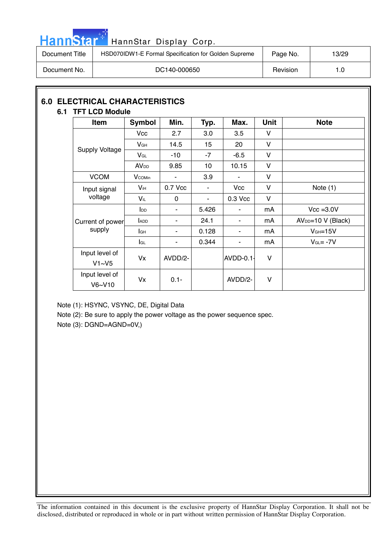|  |  | <b>HannStar</b> |  |
|--|--|-----------------|--|
|  |  |                 |  |

## <mark>H</mark> HannStar Display Corp.

| Document Title | HSD070IDW1-E Formal Specification for Golden Supreme | Page No. | 13/29 |
|----------------|------------------------------------------------------|----------|-------|
| Document No.   | DC140-000650                                         | Revision | 1.0   |

## **6.0 ELECTRICAL CHARACTERISTICS 6.1 TFT LCD Module**

| Item                     | Symbol                  | Min.    | Typ.           | Max.       | <b>Unit</b>  | <b>Note</b>         |
|--------------------------|-------------------------|---------|----------------|------------|--------------|---------------------|
|                          | Vcc                     | 2.7     | 3.0            | 3.5        | v            |                     |
|                          | $V$ GH                  | 14.5    | 15             | 20         | V            |                     |
| <b>Supply Voltage</b>    | $V_{GL}$                | -10     | $-7$           | $-6.5$     | V            |                     |
|                          | <b>AV</b> <sub>DD</sub> | 9.85    | 10             | 10.15      | V            |                     |
| <b>VCOM</b>              | <b>V</b> comin          | ۰       | 3.9            | ۰          | $\vee$       |                     |
| Input signal             | Vін                     | 0.7 Vcc | ٠              | <b>Vcc</b> | V            | Note $(1)$          |
| voltage                  | $V_{iL}$                | 0       | $\blacksquare$ | 0.3 Vcc    | $\vee$       |                     |
|                          | $I_{DD}$                | ٠       | 5.426          | ٠          | mA           | $Vcc = 3.0V$        |
| Current of power         | <b>ADD</b>              | ۰       | 24.1           | ۰          | mA           | $AVDD=10 V (Black)$ |
| supply                   | lсн                     | ٠       | 0.128          | ٠          | mA           | $VGH=15V$           |
|                          | lgL                     | ٠       | 0.344          | ۰          | mA           | $V_{GL} = -7V$      |
| Input level of<br>V1~V5  | Vx                      | AVDD/2- |                | AVDD-0.1-  | $\mathsf{V}$ |                     |
| Input level of<br>V6~V10 | Vx                      | $0.1 -$ |                | AVDD/2-    | V            |                     |

Note (1): HSYNC, VSYNC, DE, Digital Data

Note (2): Be sure to apply the power voltage as the power sequence spec.

Note (3): DGND=AGND=0V,)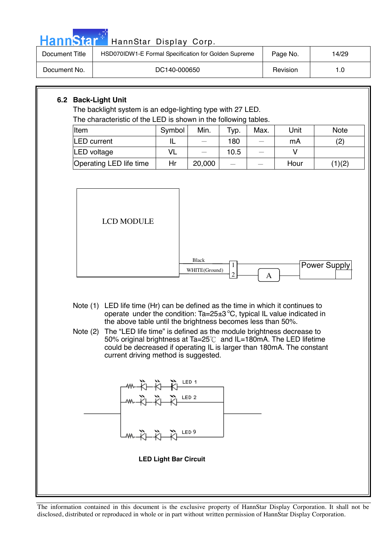| HannStar <sup>®</sup>                                                                                                                                                                                                                                                                                                                                                                                                                                                                                                                                                                                                                                                                 | HannStar Display Corp.                                                                                                        |                 |        |             |      |          |             |
|---------------------------------------------------------------------------------------------------------------------------------------------------------------------------------------------------------------------------------------------------------------------------------------------------------------------------------------------------------------------------------------------------------------------------------------------------------------------------------------------------------------------------------------------------------------------------------------------------------------------------------------------------------------------------------------|-------------------------------------------------------------------------------------------------------------------------------|-----------------|--------|-------------|------|----------|-------------|
| <b>Document Title</b>                                                                                                                                                                                                                                                                                                                                                                                                                                                                                                                                                                                                                                                                 | HSD070IDW1-E Formal Specification for Golden Supreme<br>Page No.                                                              |                 |        |             |      |          | 14/29       |
| Document No.                                                                                                                                                                                                                                                                                                                                                                                                                                                                                                                                                                                                                                                                          |                                                                                                                               | DC140-000650    |        |             |      | Revision | 1.0         |
| 6.2 Back-Light Unit<br>Item                                                                                                                                                                                                                                                                                                                                                                                                                                                                                                                                                                                                                                                           | The backlight system is an edge-lighting type with 27 LED.<br>The characteristic of the LED is shown in the following tables. | Symbol          | Min.   | Typ.        | Max. | Unit     | <b>Note</b> |
|                                                                                                                                                                                                                                                                                                                                                                                                                                                                                                                                                                                                                                                                                       | <b>LED</b> current                                                                                                            | IL<br><b>VL</b> |        | 180<br>10.5 |      | mA<br>V  | (2)         |
|                                                                                                                                                                                                                                                                                                                                                                                                                                                                                                                                                                                                                                                                                       | LED voltage                                                                                                                   |                 |        |             |      |          |             |
|                                                                                                                                                                                                                                                                                                                                                                                                                                                                                                                                                                                                                                                                                       | Operating LED life time                                                                                                       | Hr              | 20,000 |             |      | Hour     | (1)(2)      |
| <b>LCD MODULE</b><br><b>Black</b><br><b>Power Supply</b><br>1<br>WHITE(Ground)<br>$\mathfrak{2}$<br>A<br>Note (1) LED life time (Hr) can be defined as the time in which it continues to<br>operate under the condition: $Ta = 25 \pm 3\degree C$ , typical IL value indicated in<br>the above table until the brightness becomes less than 50%.<br>Note (2) The "LED life time" is defined as the module brightness decrease to<br>50% original brightness at Ta=25℃ and IL=180mA. The LED lifetime<br>could be decreased if operating IL is larger than 180mA. The constant<br>current driving method is suggested.<br>ᄴ᠊᠊ᡭᡰ᠆ᡭᡰ᠆ᢆᡭᡰ᠆ <sup>ᢄᢄ᠑</sup><br><b>LED Light Bar Circuit</b> |                                                                                                                               |                 |        |             |      |          |             |

m.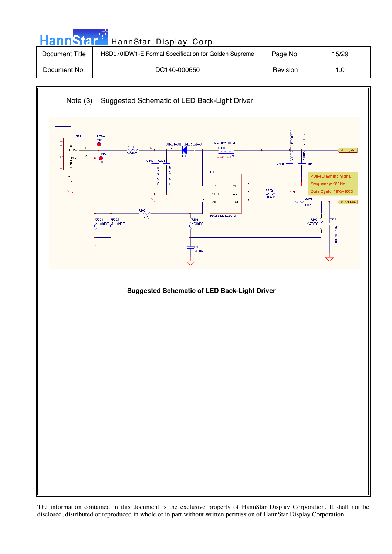| <b>HannStar</b><br>HannStar Display Corp. |                                                      |          |       |  |  |
|-------------------------------------------|------------------------------------------------------|----------|-------|--|--|
| Document Title                            | HSD070IDW1-E Formal Specification for Golden Supreme | Page No. | 15/29 |  |  |
| Document No.                              | DC140-000650                                         | Revision | 1.0   |  |  |

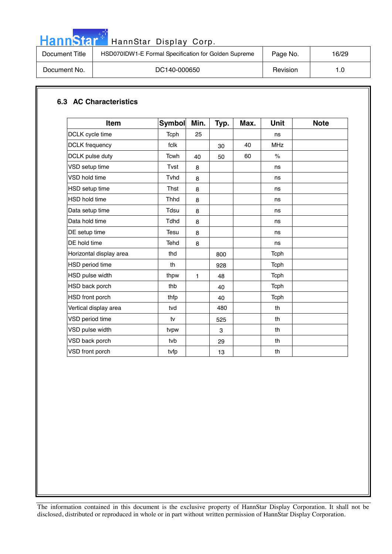

## HannStar<sup>t HannStar Display Corp.</sup>

| Document Title | HSD070IDW1-E Formal Specification for Golden Supreme | Page No. | 16/29 |
|----------------|------------------------------------------------------|----------|-------|
| Document No.   | DC140-000650                                         | Revision | 1.G   |

## **6.3 AC Characteristics**

| <b>Item</b>             | <b>Symbol</b> | Min. | Typ. | Max. | <b>Unit</b>   | <b>Note</b> |
|-------------------------|---------------|------|------|------|---------------|-------------|
| DCLK cycle time         | Tcph          | 25   |      |      | ns            |             |
| <b>DCLK</b> frequency   | fclk          |      | 30   | 40   | <b>MHz</b>    |             |
| DCLK pulse duty         | <b>Tcwh</b>   | 40   | 50   | 60   | $\frac{1}{2}$ |             |
| VSD setup time          | Tvst          | 8    |      |      | ns            |             |
| VSD hold time           | Tvhd          | 8    |      |      | ns            |             |
| <b>HSD</b> setup time   | <b>Thst</b>   | 8    |      |      | ns            |             |
| <b>HSD hold time</b>    | <b>Thhd</b>   | 8    |      |      | ns            |             |
| Data setup time         | Tdsu          | 8    |      |      | ns            |             |
| Data hold time          | <b>Tdhd</b>   | 8    |      |      | ns            |             |
| DE setup time           | <b>Tesu</b>   | 8    |      |      | ns            |             |
| DE hold time            | Tehd          | 8    |      |      | ns            |             |
| Horizontal display area | thd           |      | 800  |      | Tcph          |             |
| HSD period time         | th            |      | 928  |      | Tcph          |             |
| HSD pulse width         | thpw          | 1    | 48   |      | Tcph          |             |
| HSD back porch          | thb           |      | 40   |      | Tcph          |             |
| HSD front porch         | thfp          |      | 40   |      | Tcph          |             |
| Vertical display area   | tvd           |      | 480  |      | th            |             |
| VSD period time         | tv            |      | 525  |      | th            |             |
| VSD pulse width         | tvpw          |      | 3    |      | th            |             |
| VSD back porch          | tyb           |      | 29   |      | th            |             |
| VSD front porch         | tvfp          |      | 13   |      | th            |             |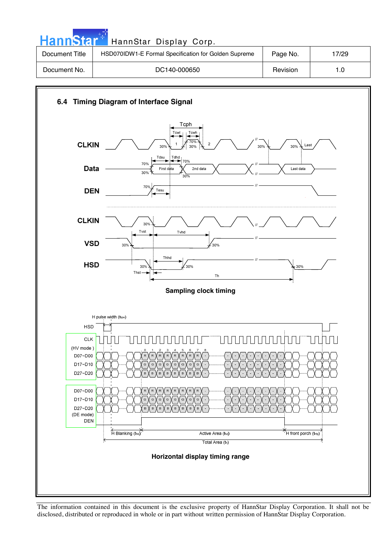| HannStar <sup>**</sup> | HannStar Display Corp.                               |          |       |
|------------------------|------------------------------------------------------|----------|-------|
| Document Title         | HSD070IDW1-E Formal Specification for Golden Supreme | Page No. | 17/29 |
| Document No.           | DC140-000650                                         | Revision | 1.0   |



The information contained in this document is the exclusive property of HannStar Display Corporation. It shall not be disclosed, distributed or reproduced in whole or in part without written permission of HannStar Display Corporation.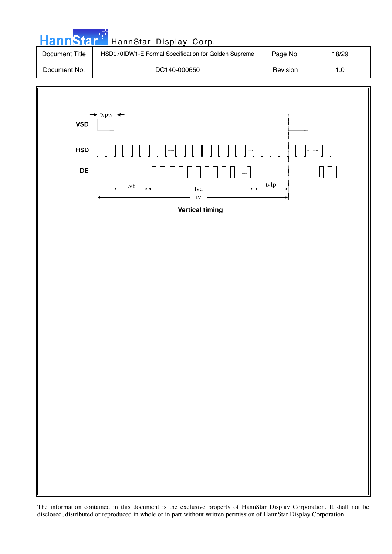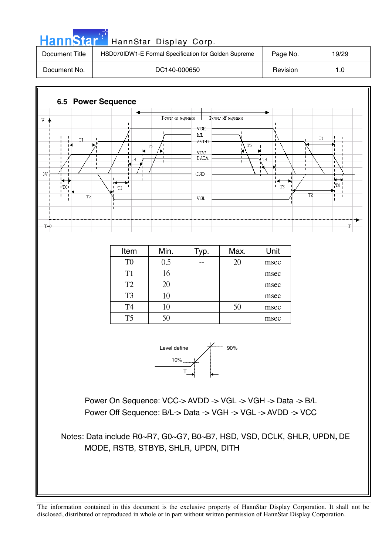



Item | Min. | Typ. | Max. | Unit  $T0 \t 0.5 \t - \t 20 \t$  msec  $T1 \mid 16 \mid$  msec T2 ijıġ ġ ġ ġ ġ msec  $T3 \t\t 10 \t\t 10$  msec  $T4 \t10 \t10 \t50 \t\t$  $T5 \t 50 \t 50 \t 50 \t 50 \t 50$  Ŧ

Power On Sequence: VCC-> AVDD -> VGL -> VGH -> Data -> B/L Power Off Sequence: B/L-> Data -> VGH -> VGL -> AVDD -> VCC

Notes: Data include R0~R7, G0~G7, B0~B7, HSD, VSD, DCLK, SHLR, UPDN**,** DE MODE, RSTB, STBYB, SHLR, UPDN, DITH

 $T=0$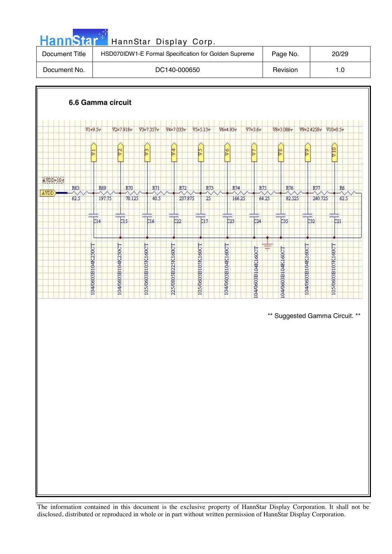| <b>HannStar</b> <sup>*</sup><br>HannStar Display Corp. |          |       |  |  |  |  |
|--------------------------------------------------------|----------|-------|--|--|--|--|
| HSD070IDW1-E Formal Specification for Golden Supreme   | Page No. | 20/29 |  |  |  |  |
| DC140-000650                                           | Revision | 1.0   |  |  |  |  |
|                                                        |          |       |  |  |  |  |

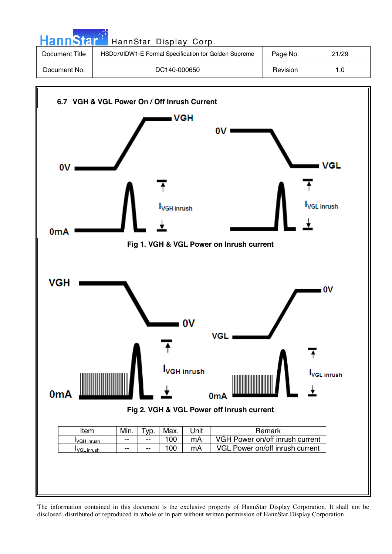| HannStar <sup>*</sup> | HannStar Display Corp.                               |          |       |
|-----------------------|------------------------------------------------------|----------|-------|
| Document Title        | HSD070IDW1-E Formal Specification for Golden Supreme | Page No. | 21/29 |
| Document No.          | DC140-000650                                         | Revision | 1.0   |
|                       |                                                      |          |       |

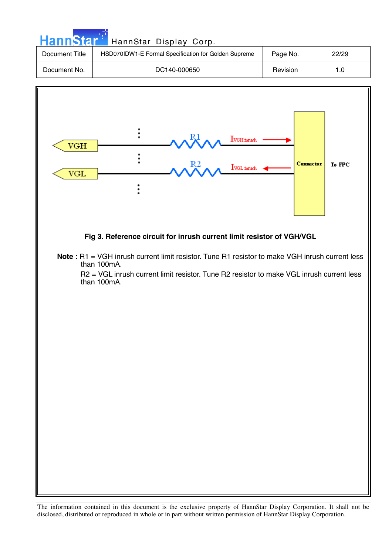| HannStar <sup>**</sup> | HannStar Display Corp.                               |          |       |
|------------------------|------------------------------------------------------|----------|-------|
| Document Title         | HSD070IDW1-E Formal Specification for Golden Supreme | Page No. | 22/29 |
| Document No.           | DC140-000650                                         | Revision | 1.0   |
|                        |                                                      |          |       |

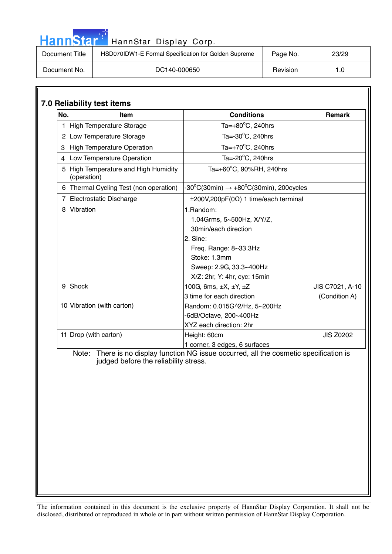| HannStar <sup>+</sup><br>HannStar Display Corp. |                                                      |          |       |  |  |
|-------------------------------------------------|------------------------------------------------------|----------|-------|--|--|
| Document Title                                  | HSD070IDW1-E Formal Specification for Golden Supreme | Page No. | 23/29 |  |  |
| Document No.                                    | DC140-000650                                         | Revision | 1.0   |  |  |

ا با است.<br>مواليد

| No. | Item                                              | <b>Conditions</b>                                                                                                                                                              | <b>Remark</b>                    |
|-----|---------------------------------------------------|--------------------------------------------------------------------------------------------------------------------------------------------------------------------------------|----------------------------------|
|     | High Temperature Storage                          | Ta= $+80^{\circ}$ C, 240hrs                                                                                                                                                    |                                  |
|     | 2 Low Temperature Storage                         | Ta= $-30^{\circ}$ C, 240hrs                                                                                                                                                    |                                  |
| 3   | High Temperature Operation                        | Ta= $+70^{\circ}$ C, 240hrs                                                                                                                                                    |                                  |
| 4   | Low Temperature Operation                         | Ta=-20°C, 240hrs                                                                                                                                                               |                                  |
| 5   | High Temperature and High Humidity<br>(operation) | Ta=+60°C, 90%RH, 240hrs                                                                                                                                                        |                                  |
| 6   | Thermal Cycling Test (non operation)              | $-30^{\circ}$ C(30min) $\rightarrow +80^{\circ}$ C(30min), 200cycles                                                                                                           |                                  |
|     | 7 Electrostatic Discharge                         | $\pm 200V, 200pF(0\Omega)$ 1 time/each terminal                                                                                                                                |                                  |
| 8   | Vibration                                         | 1.Random:<br>1.04Grms, 5~500Hz, X/Y/Z,<br>30min/each direction<br>2. Sine:<br>Freq. Range: 8~33.3Hz<br>Stoke: 1.3mm<br>Sweep: 2.9G, 33.3~400Hz<br>X/Z: 2hr, Y: 4hr, cyc: 15min |                                  |
| 9   | Shock                                             | 100G, 6ms, $\pm X$ , $\pm Y$ , $\pm Z$<br>3 time for each direction                                                                                                            | JIS C7021, A-10<br>(Condition A) |
|     | 10 Vibration (with carton)                        | Random: 0.015G^2/Hz, 5~200Hz<br>-6dB/Octave, 200~400Hz<br>XYZ each direction: 2hr                                                                                              |                                  |
|     | 11 Drop (with carton)                             | Height: 60cm<br>1 corner, 3 edges, 6 surfaces                                                                                                                                  | <b>JIS Z0202</b>                 |
|     | judged before the reliability stress.             | Note: There is no display function NG issue occurred, all the cosmetic specification is                                                                                        |                                  |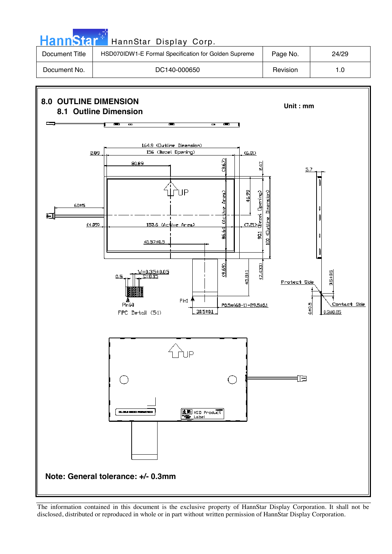

The information contained in this document is the exclusive property of HannStar Display Corporation. It shall not be disclosed, distributed or reproduced in whole or in part without written permission of HannStar Display Corporation.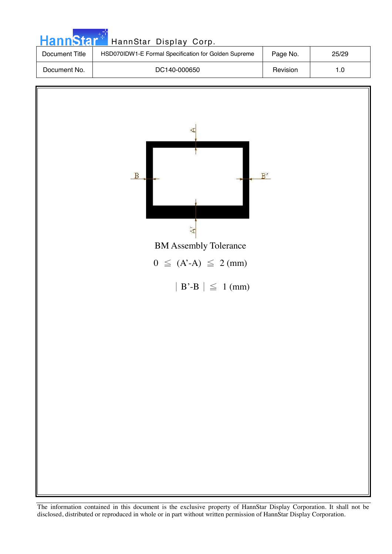

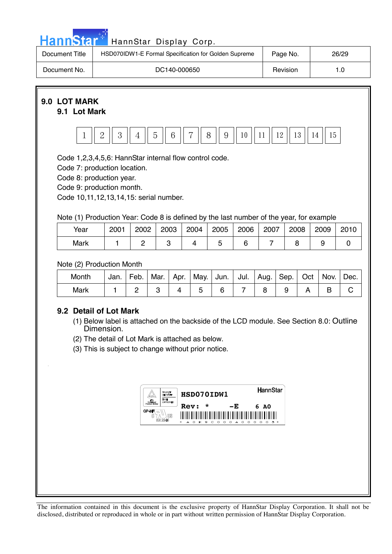|                                                                                                                                                                                                                                                                                           |      | HannStar Display Corp. |                    |  |            |      |          |                |      |      |      |      |
|-------------------------------------------------------------------------------------------------------------------------------------------------------------------------------------------------------------------------------------------------------------------------------------------|------|------------------------|--------------------|--|------------|------|----------|----------------|------|------|------|------|
| HannStar <sup>+1</sup><br>HSD070IDW1-E Formal Specification for Golden Supreme<br>Page No.<br>Document Title                                                                                                                                                                              |      |                        |                    |  |            |      | 26/29    |                |      |      |      |      |
| Document No.<br>DC140-000650                                                                                                                                                                                                                                                              |      |                        |                    |  |            |      | Revision | 1.0            |      |      |      |      |
| 9.0 LOT MARK<br>9.1 Lot Mark                                                                                                                                                                                                                                                              |      |                        |                    |  |            |      |          |                |      |      |      |      |
| $\mathbf{2}$<br>3<br>5<br>$6\phantom{1}6$<br>$\overline{7}$<br>12<br>13<br>15<br>8<br>9<br>10<br>11<br>14<br>$\mathbf{1}$<br>4                                                                                                                                                            |      |                        |                    |  |            |      |          |                |      |      |      |      |
| Code 1,2,3,4,5,6: HannStar internal flow control code.<br>Code 7: production location.<br>Code 8: production year.<br>Code 9: production month.<br>Code 10, 11, 12, 13, 14, 15: serial number.<br>Note (1) Production Year: Code 8 is defined by the last number of the year, for example |      |                        |                    |  |            |      |          |                |      |      |      |      |
| Year                                                                                                                                                                                                                                                                                      | 2001 | 2002                   | 2003               |  | 2004       | 2005 | 2006     | 2007           |      | 2008 | 2009 | 2010 |
| Mark                                                                                                                                                                                                                                                                                      | 1    | $\overline{c}$         | 3                  |  | 4          | 5    | 6        | $\overline{7}$ | 8    |      | 9    | 0    |
| Note (2) Production Month                                                                                                                                                                                                                                                                 |      |                        |                    |  | Jul.       |      | Sep.     | Oct            | Nov. | Dec. |      |      |
| Month<br>Jan.<br>Feb.<br>Mar.<br>May.<br>Jun.<br>Apr.<br>Aug.<br><b>Mark</b><br>$\overline{2}$<br>3<br>4<br>5<br>6<br>$\overline{7}$<br>8<br>1                                                                                                                                            |      |                        |                    |  |            | 9    | A        | B              | C    |      |      |      |
| 9.2 Detail of Lot Mark<br>(1) Below label is attached on the backside of the LCD module. See Section 8.0: Outline<br>Dimension.<br>(2) The detail of Lot Mark is attached as below.<br>(3) This is subject to change without prior notice.                                                |      |                        |                    |  |            |      |          |                |      |      |      |      |
|                                                                                                                                                                                                                                                                                           |      |                        | Baliart<br>Geboort |  | HSD070IDW1 |      |          | HannStar       |      |      |      |      |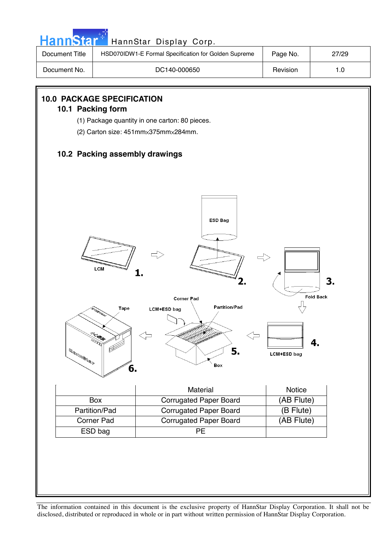| HannStar <sup>®</sup>                                                                                                                                                                                                                                                                                                                                                                                                  |                                                                                       | HannStar Display Corp.                               |                    |       |  |  |  |  |  |  |
|------------------------------------------------------------------------------------------------------------------------------------------------------------------------------------------------------------------------------------------------------------------------------------------------------------------------------------------------------------------------------------------------------------------------|---------------------------------------------------------------------------------------|------------------------------------------------------|--------------------|-------|--|--|--|--|--|--|
| <b>Document Title</b>                                                                                                                                                                                                                                                                                                                                                                                                  |                                                                                       | HSD070IDW1-E Formal Specification for Golden Supreme | Page No.           | 27/29 |  |  |  |  |  |  |
| Document No.                                                                                                                                                                                                                                                                                                                                                                                                           |                                                                                       | Revision                                             | 1.0                |       |  |  |  |  |  |  |
|                                                                                                                                                                                                                                                                                                                                                                                                                        |                                                                                       |                                                      |                    |       |  |  |  |  |  |  |
| <b>10.0 PACKAGE SPECIFICATION</b>                                                                                                                                                                                                                                                                                                                                                                                      |                                                                                       |                                                      |                    |       |  |  |  |  |  |  |
| 10.1 Packing form                                                                                                                                                                                                                                                                                                                                                                                                      |                                                                                       |                                                      |                    |       |  |  |  |  |  |  |
|                                                                                                                                                                                                                                                                                                                                                                                                                        | (1) Package quantity in one carton: 80 pieces.<br>(2) Carton size: 451mmx375mmx284mm. |                                                      |                    |       |  |  |  |  |  |  |
|                                                                                                                                                                                                                                                                                                                                                                                                                        |                                                                                       |                                                      |                    |       |  |  |  |  |  |  |
|                                                                                                                                                                                                                                                                                                                                                                                                                        | 10.2 Packing assembly drawings                                                        |                                                      |                    |       |  |  |  |  |  |  |
|                                                                                                                                                                                                                                                                                                                                                                                                                        |                                                                                       |                                                      |                    |       |  |  |  |  |  |  |
|                                                                                                                                                                                                                                                                                                                                                                                                                        |                                                                                       |                                                      |                    |       |  |  |  |  |  |  |
|                                                                                                                                                                                                                                                                                                                                                                                                                        |                                                                                       |                                                      |                    |       |  |  |  |  |  |  |
|                                                                                                                                                                                                                                                                                                                                                                                                                        |                                                                                       |                                                      |                    |       |  |  |  |  |  |  |
|                                                                                                                                                                                                                                                                                                                                                                                                                        |                                                                                       | <b>ESD Bag</b>                                       |                    |       |  |  |  |  |  |  |
|                                                                                                                                                                                                                                                                                                                                                                                                                        |                                                                                       |                                                      |                    |       |  |  |  |  |  |  |
|                                                                                                                                                                                                                                                                                                                                                                                                                        |                                                                                       |                                                      |                    |       |  |  |  |  |  |  |
|                                                                                                                                                                                                                                                                                                                                                                                                                        |                                                                                       |                                                      |                    |       |  |  |  |  |  |  |
|                                                                                                                                                                                                                                                                                                                                                                                                                        | LCM                                                                                   |                                                      |                    |       |  |  |  |  |  |  |
|                                                                                                                                                                                                                                                                                                                                                                                                                        |                                                                                       |                                                      |                    | 3.    |  |  |  |  |  |  |
|                                                                                                                                                                                                                                                                                                                                                                                                                        |                                                                                       |                                                      | <b>Fold Back</b>   |       |  |  |  |  |  |  |
|                                                                                                                                                                                                                                                                                                                                                                                                                        | Tape                                                                                  | <b>Corner Pad</b><br><b>Partition/Pad</b>            |                    |       |  |  |  |  |  |  |
|                                                                                                                                                                                                                                                                                                                                                                                                                        |                                                                                       | <b>LCM+ESD bag</b>                                   |                    |       |  |  |  |  |  |  |
|                                                                                                                                                                                                                                                                                                                                                                                                                        |                                                                                       |                                                      |                    |       |  |  |  |  |  |  |
|                                                                                                                                                                                                                                                                                                                                                                                                                        | L. Killer                                                                             |                                                      | 4.                 |       |  |  |  |  |  |  |
| $\mathbb{E} \mathbb{E} \mathbb{E} \mathbb{E} \mathbb{E} \mathbb{E} \mathbb{E} \mathbb{E} \mathbb{E} \mathbb{E} \mathbb{E} \mathbb{E} \mathbb{E} \mathbb{E} \mathbb{E} \mathbb{E} \mathbb{E} \mathbb{E} \mathbb{E} \mathbb{E} \mathbb{E} \mathbb{E} \mathbb{E} \mathbb{E} \mathbb{E} \mathbb{E} \mathbb{E} \mathbb{E} \mathbb{E} \mathbb{E} \mathbb{E} \mathbb{E} \mathbb{E} \mathbb{E} \mathbb{E} \mathbb{E} \mathbb{$ |                                                                                       | 5.                                                   | <b>LCM+ESD bag</b> |       |  |  |  |  |  |  |
|                                                                                                                                                                                                                                                                                                                                                                                                                        |                                                                                       | Box                                                  |                    |       |  |  |  |  |  |  |
|                                                                                                                                                                                                                                                                                                                                                                                                                        | 6.                                                                                    |                                                      |                    |       |  |  |  |  |  |  |
|                                                                                                                                                                                                                                                                                                                                                                                                                        |                                                                                       | Material                                             | Notice             |       |  |  |  |  |  |  |
|                                                                                                                                                                                                                                                                                                                                                                                                                        | Box                                                                                   | <b>Corrugated Paper Board</b>                        | (AB Flute)         |       |  |  |  |  |  |  |
|                                                                                                                                                                                                                                                                                                                                                                                                                        | Partition/Pad                                                                         | (B Flute)                                            |                    |       |  |  |  |  |  |  |
|                                                                                                                                                                                                                                                                                                                                                                                                                        | Corner Pad                                                                            | <b>Corrugated Paper Board</b>                        | (AB Flute)         |       |  |  |  |  |  |  |
|                                                                                                                                                                                                                                                                                                                                                                                                                        | ESD bag                                                                               | PE                                                   |                    |       |  |  |  |  |  |  |
|                                                                                                                                                                                                                                                                                                                                                                                                                        |                                                                                       |                                                      |                    |       |  |  |  |  |  |  |
|                                                                                                                                                                                                                                                                                                                                                                                                                        |                                                                                       |                                                      |                    |       |  |  |  |  |  |  |
|                                                                                                                                                                                                                                                                                                                                                                                                                        |                                                                                       |                                                      |                    |       |  |  |  |  |  |  |
|                                                                                                                                                                                                                                                                                                                                                                                                                        |                                                                                       |                                                      |                    |       |  |  |  |  |  |  |
|                                                                                                                                                                                                                                                                                                                                                                                                                        |                                                                                       |                                                      |                    |       |  |  |  |  |  |  |

n.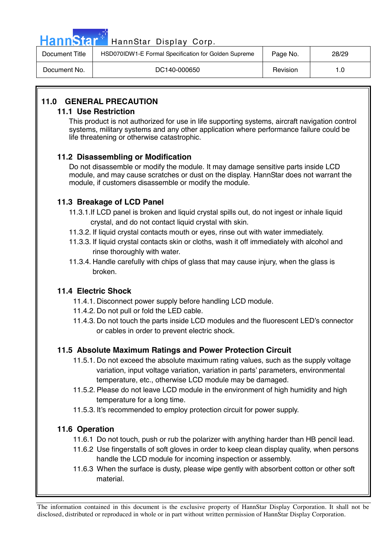| n n | ann |    |  |
|-----|-----|----|--|
| . . |     | ЫИ |  |

| Document Title | HSD070IDW1-E Formal Specification for Golden Supreme | Page No. | 28/29 |
|----------------|------------------------------------------------------|----------|-------|
| Document No.   | DC140-000650                                         | Revision | 1.0   |

## **11.0 GENERAL PRECAUTION**

## **11.1 Use Restriction**

This product is not authorized for use in life supporting systems, aircraft navigation control systems, military systems and any other application where performance failure could be life threatening or otherwise catastrophic.

## **11.2 Disassembling or Modification**

 Do not disassemble or modify the module. It may damage sensitive parts inside LCD module, and may cause scratches or dust on the display. HannStar does not warrant the module, if customers disassemble or modify the module.

## **11.3 Breakage of LCD Panel**

- 11.3.1.If LCD panel is broken and liquid crystal spills out, do not ingest or inhale liquid crystal, and do not contact liquid crystal with skin.
- 11.3.2. If liquid crystal contacts mouth or eyes, rinse out with water immediately.
- 11.3.3. If liquid crystal contacts skin or cloths, wash it off immediately with alcohol and rinse thoroughly with water.
- 11.3.4. Handle carefully with chips of glass that may cause injury, when the glass is broken.

## **11.4 Electric Shock**

- 11.4.1. Disconnect power supply before handling LCD module.
- 11.4.2. Do not pull or fold the LED cable.
- 11.4.3. Do not touch the parts inside LCD modules and the fluorescent LED's connector or cables in order to prevent electric shock.

## **11.5 Absolute Maximum Ratings and Power Protection Circuit**

- 11.5.1. Do not exceed the absolute maximum rating values, such as the supply voltage variation, input voltage variation, variation in parts' parameters, environmental temperature, etc., otherwise LCD module may be damaged.
- 11.5.2. Please do not leave LCD module in the environment of high humidity and high temperature for a long time.
- 11.5.3. It's recommended to employ protection circuit for power supply.

## **11.6 Operation**

- 11.6.1 Do not touch, push or rub the polarizer with anything harder than HB pencil lead.
- 11.6.2 Use fingerstalls of soft gloves in order to keep clean display quality, when persons handle the LCD module for incoming inspection or assembly.
- 11.6.3 When the surface is dusty, please wipe gently with absorbent cotton or other soft material.